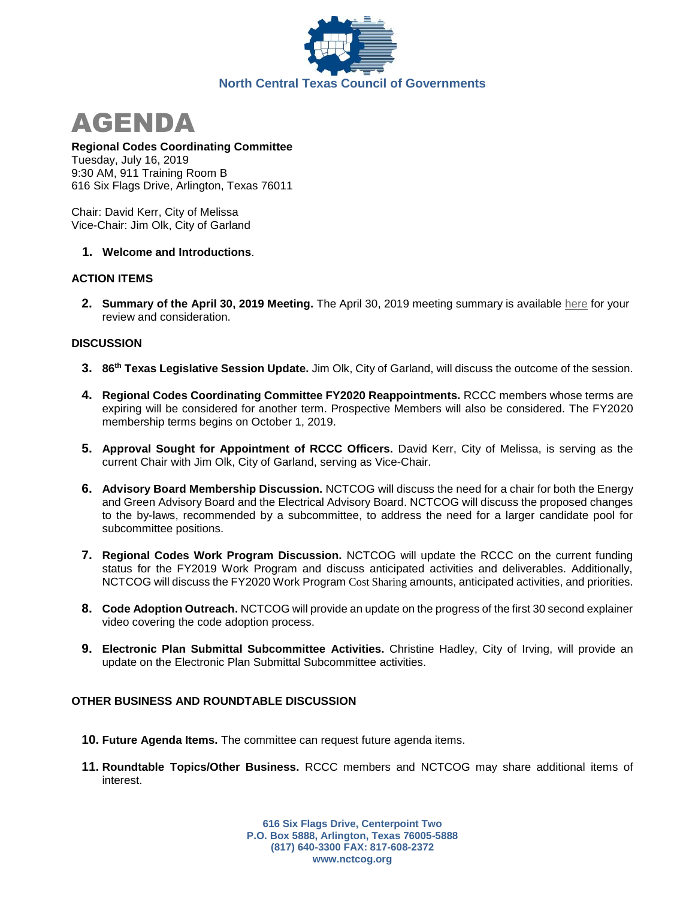



# **Regional Codes Coordinating Committee**

Tuesday, July 16, 2019 9:30 AM, 911 Training Room B 616 Six Flags Drive, Arlington, Texas 76011

Chair: David Kerr, City of Melissa Vice-Chair: Jim Olk, City of Garland

## **1. Welcome and Introductions**.

### **ACTION ITEMS**

**2. Summary of the April 30, 2019 Meeting.** The April 30, 2019 meeting summary is available [here](https://www.nctcog.org/nctcg/media/Environment-and-Development/Committee%20Documents/RCCC/FY2019/RCCC_Summary_10_04_2018.pdf?ext=.pdf) for your review and consideration.

### **DISCUSSION**

- **3. 86th Texas Legislative Session Update.** Jim Olk, City of Garland, will discuss the outcome of the session.
- **4. Regional Codes Coordinating Committee FY2020 Reappointments.** RCCC members whose terms are expiring will be considered for another term. Prospective Members will also be considered. The FY2020 membership terms begins on October 1, 2019.
- **5. Approval Sought for Appointment of RCCC Officers.** David Kerr, City of Melissa, is serving as the current Chair with Jim Olk, City of Garland, serving as Vice-Chair.
- **6. Advisory Board Membership Discussion.** NCTCOG will discuss the need for a chair for both the Energy and Green Advisory Board and the Electrical Advisory Board. NCTCOG will discuss the proposed changes to the by-laws, recommended by a subcommittee, to address the need for a larger candidate pool for subcommittee positions.
- **7. Regional Codes Work Program Discussion.** NCTCOG will update the RCCC on the current funding status for the FY2019 Work Program and discuss anticipated activities and deliverables. Additionally, NCTCOG will discuss the FY2020 Work Program [Cost Sharing](https://www.nctcog.org/envir/regional-building-codes/cost-share) amounts, anticipated activities, and priorities.
- **8. Code Adoption Outreach.** NCTCOG will provide an update on the progress of the first 30 second explainer video covering the code adoption process.
- **9. Electronic Plan Submittal Subcommittee Activities.** Christine Hadley, City of Irving, will provide an update on the Electronic Plan Submittal Subcommittee activities.

## **OTHER BUSINESS AND ROUNDTABLE DISCUSSION**

- **10. Future Agenda Items.** The committee can request future agenda items.
- **11. Roundtable Topics/Other Business.** RCCC members and NCTCOG may share additional items of interest.

**616 Six Flags Drive, Centerpoint Two P.O. Box 5888, Arlington, Texas 76005-5888 (817) 640-3300 FAX: 817-608-2372 www.nctcog.org**